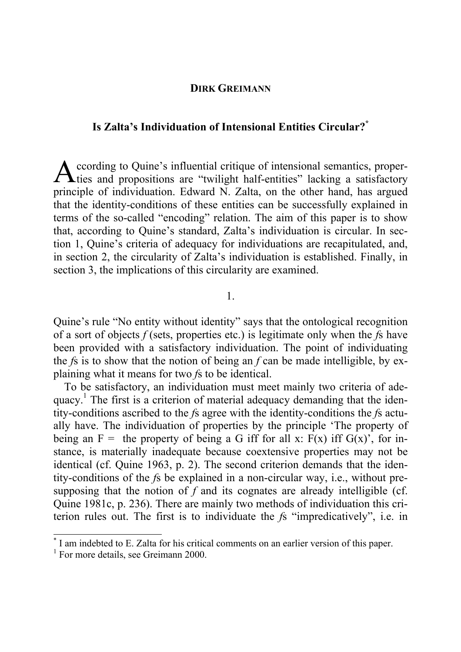## **DIRK GREIMANN**

## **Is Zalta's Individuation of Intensional Entities Circular?\***

ccording to Quine's influential critique of intensional semantics, proper-According to Quine's influential critique of intensional semantics, proper-<br>ties and propositions are "twilight half-entities" lacking a satisfactory principle of individuation. Edward N. Zalta, on the other hand, has argued that the identity-conditions of these entities can be successfully explained in terms of the so-called "encoding" relation. The aim of this paper is to show that, according to Quine's standard, Zalta's individuation is circular. In section 1, Quine's criteria of adequacy for individuations are recapitulated, and, in section 2, the circularity of Zalta's individuation is established. Finally, in section 3, the implications of this circularity are examined.

1.

Quine's rule "No entity without identity" says that the ontological recognition of a sort of objects *f* (sets, properties etc.) is legitimate only when the *f*s have been provided with a satisfactory individuation. The point of individuating the *f*s is to show that the notion of being an *f* can be made intelligible, by explaining what it means for two *f*s to be identical.

To be satisfactory, an individuation must meet mainly two criteria of adequacy.<sup>1</sup> The first is a criterion of material adequacy demanding that the identity-conditions ascribed to the *f*s agree with the identity-conditions the *f*s actually have. The individuation of properties by the principle 'The property of being an  $F =$  the property of being a G iff for all x:  $F(x)$  iff  $G(x)$ , for instance, is materially inadequate because coextensive properties may not be identical (cf. Quine 1963, p. 2). The second criterion demands that the identity-conditions of the *f*s be explained in a non-circular way, i.e., without presupposing that the notion of *f* and its cognates are already intelligible (cf. Quine 1981c, p. 236). There are mainly two methods of individuation this criterion rules out. The first is to individuate the *f*s "impredicatively", i.e. in

<sup>\*</sup> I am indebted to E. Zalta for his critical comments on an earlier version of this paper.

<sup>&</sup>lt;sup>1</sup> For more details, see Greimann 2000.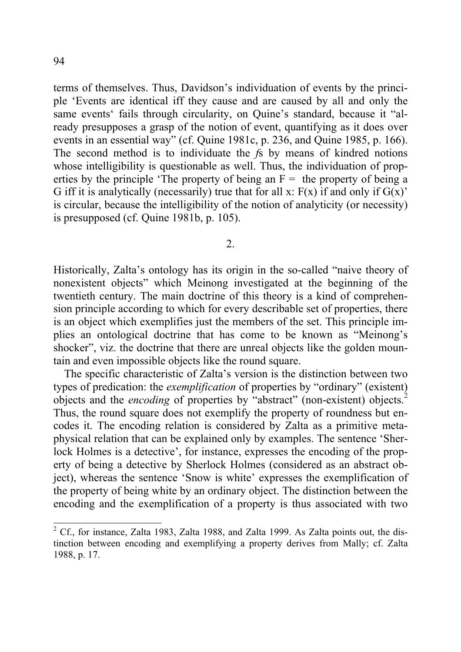terms of themselves. Thus, Davidson's individuation of events by the principle 'Events are identical iff they cause and are caused by all and only the same events' fails through circularity, on Quine's standard, because it "already presupposes a grasp of the notion of event, quantifying as it does over events in an essential way" (cf. Quine 1981c, p. 236, and Quine 1985, p. 166). The second method is to individuate the *f*s by means of kindred notions whose intelligibility is questionable as well. Thus, the individuation of properties by the principle 'The property of being an  $F =$  the property of being a G iff it is analytically (necessarily) true that for all x:  $F(x)$  if and only if  $G(x)$ ' is circular, because the intelligibility of the notion of analyticity (or necessity) is presupposed (cf. Quine 1981b, p. 105).

2.

Historically, Zalta's ontology has its origin in the so-called "naive theory of nonexistent objects" which Meinong investigated at the beginning of the twentieth century. The main doctrine of this theory is a kind of comprehension principle according to which for every describable set of properties, there is an object which exemplifies just the members of the set. This principle implies an ontological doctrine that has come to be known as "Meinong's shocker", viz. the doctrine that there are unreal objects like the golden mountain and even impossible objects like the round square.

 The specific characteristic of Zalta's version is the distinction between two types of predication: the *exemplification* of properties by "ordinary" (existent) objects and the *encoding* of properties by "abstract" (non-existent) objects.<sup>2</sup> Thus, the round square does not exemplify the property of roundness but encodes it. The encoding relation is considered by Zalta as a primitive metaphysical relation that can be explained only by examples. The sentence 'Sherlock Holmes is a detective', for instance, expresses the encoding of the property of being a detective by Sherlock Holmes (considered as an abstract object), whereas the sentence 'Snow is white' expresses the exemplification of the property of being white by an ordinary object. The distinction between the encoding and the exemplification of a property is thus associated with two

 $2^2$  Cf., for instance, Zalta 1983, Zalta 1988, and Zalta 1999. As Zalta points out, the distinction between encoding and exemplifying a property derives from Mally; cf. Zalta 1988, p. 17.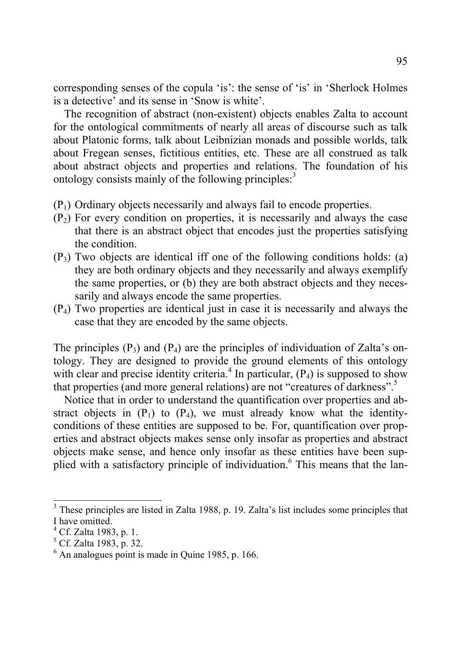corresponding senses of the copula 'is': the sense of 'is' in 'Sherlock Holmes is a detective' and its sense in 'Snow is white'.

 The recognition of abstract (non-existent) objects enables Zalta to account for the ontological commitments of nearly all areas of discourse such as talk about Platonic forms, talk about Leibnizian monads and possible worlds, talk about Fregean senses, fictitious entities, etc. These are all construed as talk about abstract objects and properties and relations. The foundation of his ontology consists mainly of the following principles: $3$ 

- $(P_1)$  Ordinary objects necessarily and always fail to encode properties.
- $(P<sub>2</sub>)$  For every condition on properties, it is necessarily and always the case that there is an abstract object that encodes just the properties satisfying the condition.
- $(P_3)$  Two objects are identical iff one of the following conditions holds: (a) they are both ordinary objects and they necessarily and always exemplify the same properties, or (b) they are both abstract objects and they necessarily and always encode the same properties.
- $(P_4)$  Two properties are identical just in case it is necessarily and always the case that they are encoded by the same objects.

The principles  $(P_3)$  and  $(P_4)$  are the principles of individuation of Zalta's ontology. They are designed to provide the ground elements of this ontology with clear and precise identity criteria.<sup>4</sup> In particular,  $(P_4)$  is supposed to show that properties (and more general relations) are not "creatures of darkness".5

Notice that in order to understand the quantification over properties and abstract objects in  $(P_1)$  to  $(P_4)$ , we must already know what the identityconditions of these entities are supposed to be. For, quantification over properties and abstract objects makes sense only insofar as properties and abstract objects make sense, and hence only insofar as these entities have been supplied with a satisfactory principle of individuation.<sup>6</sup> This means that the lan-

<sup>&</sup>lt;sup>3</sup> These principles are listed in Zalta 1988, p. 19. Zalta's list includes some principles that I have omitted.

<sup>&</sup>lt;sup>4</sup> Cf. Zalta 1983, p. 1.

<sup>&</sup>lt;sup>5</sup> Cf. Zalta 1983, p. 32.

<sup>6</sup> An analogues point is made in Quine 1985, p. 166.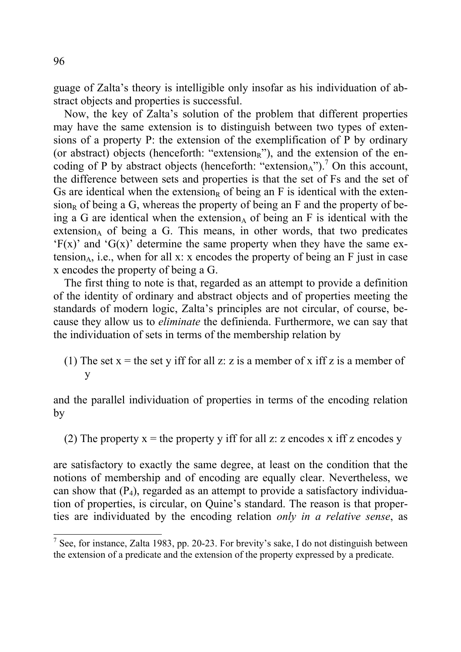guage of Zalta's theory is intelligible only insofar as his individuation of abstract objects and properties is successful.

 Now, the key of Zalta's solution of the problem that different properties may have the same extension is to distinguish between two types of extensions of a property P: the extension of the exemplification of P by ordinary (or abstract) objects (henceforth: "extension<sub>R</sub>"), and the extension of the encoding of P by abstract objects (henceforth: "extension $_A$ ").<sup>7</sup> On this account, the difference between sets and properties is that the set of Fs and the set of Gs are identical when the extension<sub>R</sub> of being an F is identical with the exten $sion<sub>R</sub>$  of being a G, whereas the property of being an F and the property of being a G are identical when the extension, of being an F is identical with the extension $_{A}$  of being a G. This means, in other words, that two predicates  $F(x)$  and  $G(x)$  determine the same property when they have the same extension<sub>A</sub>, i.e., when for all x: x encodes the property of being an  $F$  just in case x encodes the property of being a G.

 The first thing to note is that, regarded as an attempt to provide a definition of the identity of ordinary and abstract objects and of properties meeting the standards of modern logic, Zalta's principles are not circular, of course, because they allow us to *eliminate* the definienda. Furthermore, we can say that the individuation of sets in terms of the membership relation by

(1) The set  $x =$  the set y iff for all z: z is a member of x iff z is a member of y

and the parallel individuation of properties in terms of the encoding relation by

(2) The property  $x =$  the property y iff for all z: z encodes x iff z encodes y

are satisfactory to exactly the same degree, at least on the condition that the notions of membership and of encoding are equally clear. Nevertheless, we can show that  $(P_4)$ , regarded as an attempt to provide a satisfactory individuation of properties, is circular, on Quine's standard. The reason is that properties are individuated by the encoding relation *only in a relative sense*, as

 $\frac{7}{7}$  See, for instance, Zalta 1983, pp. 20-23. For brevity's sake, I do not distinguish between the extension of a predicate and the extension of the property expressed by a predicate.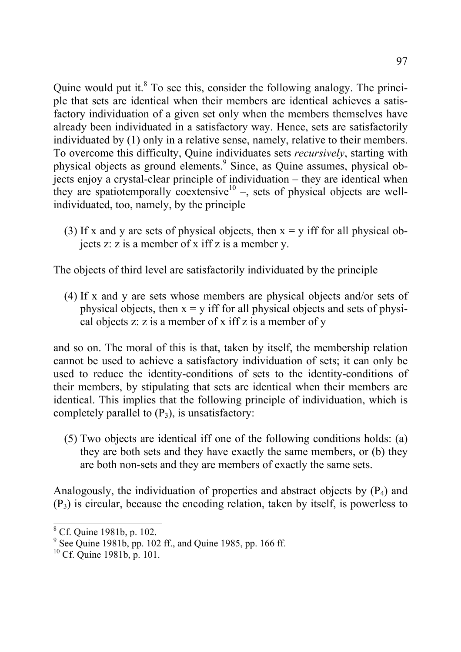Quine would put it. $8$  To see this, consider the following analogy. The principle that sets are identical when their members are identical achieves a satisfactory individuation of a given set only when the members themselves have already been individuated in a satisfactory way. Hence, sets are satisfactorily individuated by (1) only in a relative sense, namely, relative to their members. To overcome this difficulty, Quine individuates sets *recursively*, starting with physical objects as ground elements.<sup>9</sup> Since, as Quine assumes, physical objects enjoy a crystal-clear principle of individuation – they are identical when they are spatiotemporally coextensive<sup>10</sup> –, sets of physical objects are wellindividuated, too, namely, by the principle

(3) If x and y are sets of physical objects, then  $x = y$  iff for all physical objects z: z is a member of x iff z is a member y.

The objects of third level are satisfactorily individuated by the principle

(4) If x and y are sets whose members are physical objects and/or sets of physical objects, then  $x = v$  iff for all physical objects and sets of physical objects z: z is a member of x iff z is a member of y

and so on. The moral of this is that, taken by itself, the membership relation cannot be used to achieve a satisfactory individuation of sets; it can only be used to reduce the identity-conditions of sets to the identity-conditions of their members, by stipulating that sets are identical when their members are identical. This implies that the following principle of individuation, which is completely parallel to  $(P_3)$ , is unsatisfactory:

(5) Two objects are identical iff one of the following conditions holds: (a) they are both sets and they have exactly the same members, or (b) they are both non-sets and they are members of exactly the same sets.

Analogously, the individuation of properties and abstract objects by  $(P_4)$  and  $(P_3)$  is circular, because the encoding relation, taken by itself, is powerless to

<sup>8</sup> Cf. Quine 1981b, p. 102.

 $9^9$  See Quine 1981b, pp. 102 ff., and Quine 1985, pp. 166 ff.

<sup>10</sup> Cf. Quine 1981b, p. 101.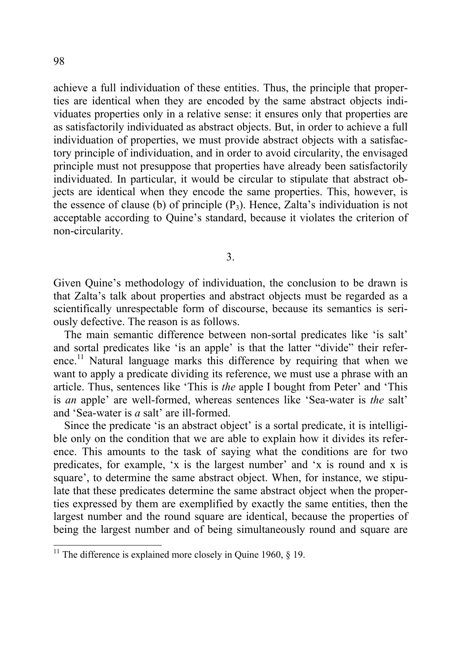achieve a full individuation of these entities. Thus, the principle that properties are identical when they are encoded by the same abstract objects individuates properties only in a relative sense: it ensures only that properties are as satisfactorily individuated as abstract objects. But, in order to achieve a full individuation of properties, we must provide abstract objects with a satisfactory principle of individuation, and in order to avoid circularity, the envisaged principle must not presuppose that properties have already been satisfactorily individuated. In particular, it would be circular to stipulate that abstract objects are identical when they encode the same properties. This, however, is the essence of clause (b) of principle  $(P_3)$ . Hence, Zalta's individuation is not acceptable according to Quine's standard, because it violates the criterion of non-circularity.

3.

Given Quine's methodology of individuation, the conclusion to be drawn is that Zalta's talk about properties and abstract objects must be regarded as a scientifically unrespectable form of discourse, because its semantics is seriously defective. The reason is as follows.

The main semantic difference between non-sortal predicates like 'is salt' and sortal predicates like 'is an apple' is that the latter "divide" their reference.<sup>11</sup> Natural language marks this difference by requiring that when we want to apply a predicate dividing its reference, we must use a phrase with an article. Thus, sentences like 'This is *the* apple I bought from Peter' and 'This is *an* apple' are well-formed, whereas sentences like 'Sea-water is *the* salt' and 'Sea-water is *a* salt' are ill-formed.

Since the predicate 'is an abstract object' is a sortal predicate, it is intelligible only on the condition that we are able to explain how it divides its reference. This amounts to the task of saying what the conditions are for two predicates, for example, 'x is the largest number' and 'x is round and x is square', to determine the same abstract object. When, for instance, we stipulate that these predicates determine the same abstract object when the properties expressed by them are exemplified by exactly the same entities, then the largest number and the round square are identical, because the properties of being the largest number and of being simultaneously round and square are

<sup>&</sup>lt;sup>11</sup> The difference is explained more closely in Quine 1960,  $\S$  19.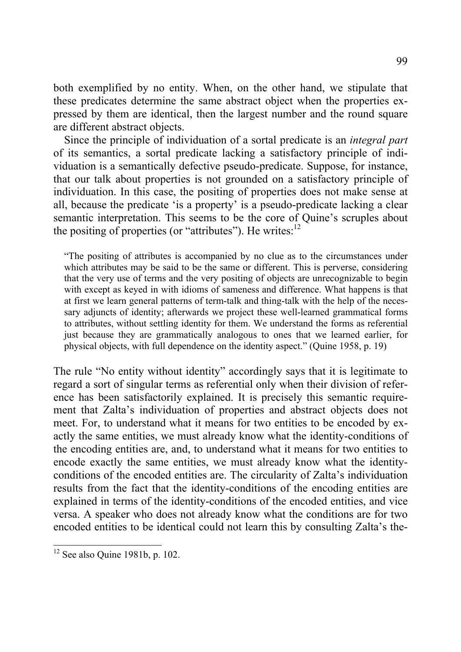both exemplified by no entity. When, on the other hand, we stipulate that these predicates determine the same abstract object when the properties expressed by them are identical, then the largest number and the round square are different abstract objects.

Since the principle of individuation of a sortal predicate is an *integral part* of its semantics, a sortal predicate lacking a satisfactory principle of individuation is a semantically defective pseudo-predicate. Suppose, for instance, that our talk about properties is not grounded on a satisfactory principle of individuation. In this case, the positing of properties does not make sense at all, because the predicate 'is a property' is a pseudo-predicate lacking a clear semantic interpretation. This seems to be the core of Quine's scruples about the positing of properties (or "attributes"). He writes: $12$ 

"The positing of attributes is accompanied by no clue as to the circumstances under which attributes may be said to be the same or different. This is perverse, considering that the very use of terms and the very positing of objects are unrecognizable to begin with except as keyed in with idioms of sameness and difference. What happens is that at first we learn general patterns of term-talk and thing-talk with the help of the necessary adjuncts of identity; afterwards we project these well-learned grammatical forms to attributes, without settling identity for them. We understand the forms as referential just because they are grammatically analogous to ones that we learned earlier, for physical objects, with full dependence on the identity aspect." (Quine 1958, p. 19)

The rule "No entity without identity" accordingly says that it is legitimate to regard a sort of singular terms as referential only when their division of reference has been satisfactorily explained. It is precisely this semantic requirement that Zalta's individuation of properties and abstract objects does not meet. For, to understand what it means for two entities to be encoded by exactly the same entities, we must already know what the identity-conditions of the encoding entities are, and, to understand what it means for two entities to encode exactly the same entities, we must already know what the identityconditions of the encoded entities are. The circularity of Zalta's individuation results from the fact that the identity-conditions of the encoding entities are explained in terms of the identity-conditions of the encoded entities, and vice versa. A speaker who does not already know what the conditions are for two encoded entities to be identical could not learn this by consulting Zalta's the-

 $12$  See also Quine 1981b, p. 102.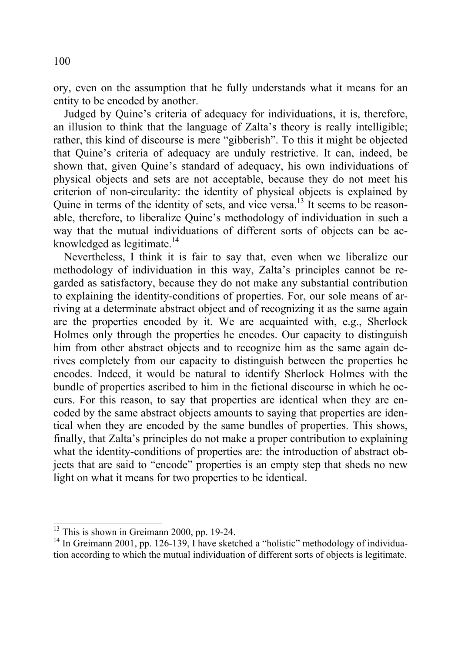ory, even on the assumption that he fully understands what it means for an entity to be encoded by another.

Judged by Quine's criteria of adequacy for individuations, it is, therefore, an illusion to think that the language of Zalta's theory is really intelligible; rather, this kind of discourse is mere "gibberish". To this it might be objected that Quine's criteria of adequacy are unduly restrictive. It can, indeed, be shown that, given Quine's standard of adequacy, his own individuations of physical objects and sets are not acceptable, because they do not meet his criterion of non-circularity: the identity of physical objects is explained by Quine in terms of the identity of sets, and vice versa.<sup>13</sup> It seems to be reasonable, therefore, to liberalize Quine's methodology of individuation in such a way that the mutual individuations of different sorts of objects can be acknowledged as legitimate. $14$ 

Nevertheless, I think it is fair to say that, even when we liberalize our methodology of individuation in this way, Zalta's principles cannot be regarded as satisfactory, because they do not make any substantial contribution to explaining the identity-conditions of properties. For, our sole means of arriving at a determinate abstract object and of recognizing it as the same again are the properties encoded by it. We are acquainted with, e.g., Sherlock Holmes only through the properties he encodes. Our capacity to distinguish him from other abstract objects and to recognize him as the same again derives completely from our capacity to distinguish between the properties he encodes. Indeed, it would be natural to identify Sherlock Holmes with the bundle of properties ascribed to him in the fictional discourse in which he occurs. For this reason, to say that properties are identical when they are encoded by the same abstract objects amounts to saying that properties are identical when they are encoded by the same bundles of properties. This shows, finally, that Zalta's principles do not make a proper contribution to explaining what the identity-conditions of properties are: the introduction of abstract objects that are said to "encode" properties is an empty step that sheds no new light on what it means for two properties to be identical.

 $13$  This is shown in Greimann 2000, pp. 19-24.

<sup>&</sup>lt;sup>14</sup> In Greimann 2001, pp. 126-139, I have sketched a "holistic" methodology of individuation according to which the mutual individuation of different sorts of objects is legitimate.